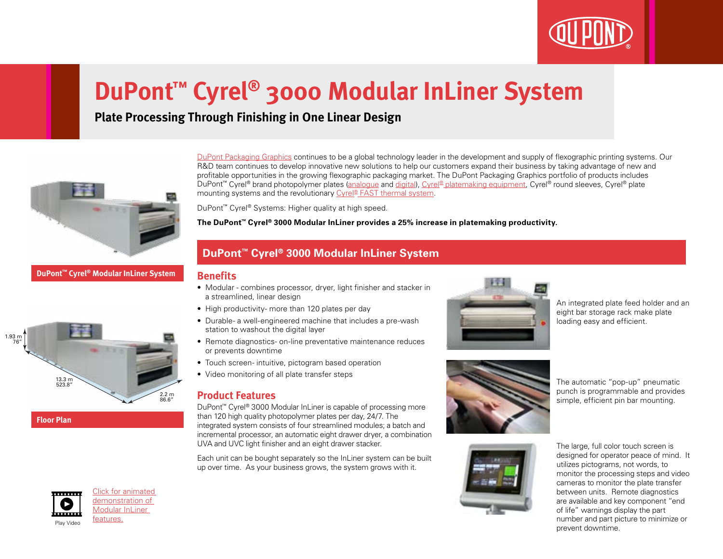

# **DuPont™ Cyrel® 3000 Modular InLiner System**

## **Plate Processing Through Finishing in One Linear Design**



**DuPont™ Cyrel® Modular InLiner System**





Click for animated demonstration of Modular InLiner

[DuPont Packaging Graphics](http://www2.dupont.com/Packaging_Graphics/en_AU/index.html) continues to be a global technology leader in the development and supply of flexographic printing systems. Our R&D team continues to develop innovative new solutions to help our customers expand their business by taking advantage of new and profitable opportunities in the growing flexographic packaging market. The DuPont Packaging Graphics portfolio of products includes DuPont™ Cyrel® brand photopolymer plates [\(analogue](http://www2.dupont.com/Packaging_Graphics/en_AU/products/solvent_platemaking/index.html) and [digital](http://www2.dupont.com/Packaging_Graphics/en_AU/products/digital_wkflow/digital_workflow.html)), [Cyrel® platemaking equipment,](http://www2.dupont.com/Packaging_Graphics/en_AU/products/mounting_systems/index.html) Cyrel® round sleeves, Cyrel® plate mounting systems and the revolutionary [Cyrel® FAST thermal system](http://www2.dupont.com/Packaging_Graphics/en_AU/products/thermal_platemaking/index.html).

DuPont™ Cyrel® Systems: Higher quality at high speed.

**The DuPont™ Cyrel® 3000 Modular InLiner provides a 25% increase in platemaking productivity.**

## **DuPont™ Cyrel® 3000 Modular InLiner System**

### **Benefits**

- Modular combines processor, dryer, light finisher and stacker in a streamlined, linear design
- High productivity- more than 120 plates per day
- Durable- a well-engineered machine that includes a pre-wash station to washout the digital layer
- Remote diagnostics- on-line preventative maintenance reduces or prevents downtime
- Touch screen- intuitive, pictogram based operation
- Video monitoring of all plate transfer steps

## **Product Features**

DuPont™ Cyrel® 3000 Modular InLiner is capable of processing more than 120 high quality photopolymer plates per day, 24/7. The integrated system consists of four streamlined modules; a batch and incremental processor, an automatic eight drawer dryer, a combination UVA and UVC light finisher and an eight drawer stacker.

Each unit can be bought separately so the InLiner system can be built up over time. As your business grows, the system grows with it.



An integrated plate feed holder and an eight bar storage rack make plate loading easy and efficient.



The automatic "pop-up" pneumatic punch is programmable and provides simple, efficient pin bar mounting.



The large, full color touch screen is designed for operator peace of mind. It utilizes pictograms, not words, to monitor the processing steps and video cameras to monitor the plate transfer between units. Remote diagnostics are available and key component "end of life" warnings display the part number and part picture to minimize or prevent downtime.